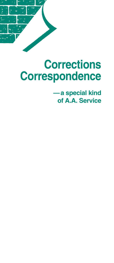

## **Corrections Correspondence**

**—a special kind of A.A. Service**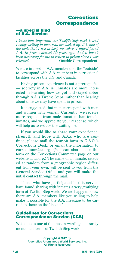## Corrections Correspondence

## —a special kind of A.A. Service

*I know how important our Twelfth Step work is and I enjoy writing to men who are locked up. It is one of the tools that I use to keep me sober. I myself found A.A. in prison almost 20 years ago. And it hasn't been necessary for me to return to prison since I was*   $-$ Outside Correspondent

We are in need of A.A. members on the "outside" to correspond with A.A. members in correctional facilities across the U.S. and Canada.

Having prison experience is not a prerequisite — sobriety in A.A. is. Inmates are more interested in learning how we got and stayed sober through A.A.'s Twelve Steps, rather than hearing about time we may have spent in prison.

It is suggested that men correspond with men and women with women. Currently, we receive more requests from male inmates than female inmates, and we appreciate your response, which will help us to reduce the waiting list.

If you would like to share your experience, strength and hope with A.A.s who are confined, please mail the tear-off form to G.S.O.'s Corrections Desk, or email the information to corrections@aa.org. (You can also access the form on the Corrections Committee page on our website at aa.org.) The name of an inmate, selected at random from a geographic region different from your own, will be sent to you from the General Service Office and you will make the initial contact through the mail.

Those who have participated in this service have found sharing with inmates a very gratifying form of Twelfth Step work. We are happy to know there are A.A. members like you willing to help make it possible for the A.A. message to be carried to those on the "inside."

## Guidelines for Corrections Correspondence Service (CCS)

Welcome to one of the most rewarding and rarely mentioned forms of Twelfth Step work.

> **Copyright © 2017 by Alcoholics Anonymous World Services, Inc. All Rights Reserved**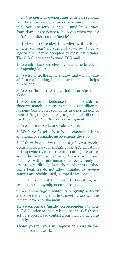In the spirit of cooperating with correctional facility requirements for correspondence and mail, here are some suggested guidelines drawn from shared experience to help you when writing to A.A. members on the "inside":

To begin, remember that when writing to an inmate, *you must use your last name on the envelope* or it will not be accepted by most institutions. The G.S.O. does not forward CCS mail.

1. We introduce ourselves by qualifying briefly in our opening letter.

2. We try to let the inmate know that writing, like all forms of sharing, helps us as much as it helps him or her.

3. We let the inmate know that he or she is not alone.

4. Most correspondents use their home address, since we match up correspondents from different regions. Some correspondents ask permission of their A.A. group or intergroup/central office to use the office P.O. Box for receiving mail.

5. We share sobriety and sobriety only.

6. We have found it best for all concerned if no emotional or romantic involvements develop.

7. If there is a desire to send a gift for a special occasion, we make it an A.A. book, A.A. literature, or Grapevine material. (Before sending literature, see if the facility will allow it. Many Correctional Facilities will permit inmates to receive only literature sent directly from the publishers.) Also, some facilities do not allow inmates to receive stamps or preaddressed, stamped envelopes.

8. In the spirit of the Twelfth Tradition, we respect the anonymity of our correspondents.

9. We encourage "inside" A.A. group activity and stress making that first meeting *the day* the inmate leaves confinement.

10.We encourage "inside" correspondents to notify G.S.O. prior to their release so that G.S.O. can set up a prerelease contact from their home community.

Thank you for your willingness to share in this most important work.